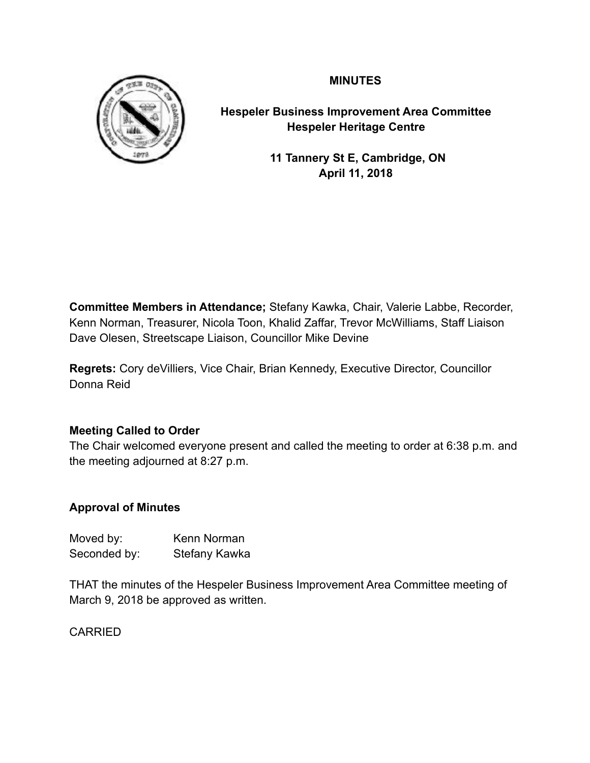## **MINUTES**



**Hespeler Business Improvement Area Committee Hespeler Heritage Centre** 

> **11 Tannery St E, Cambridge, ON April 11, 2018**

**Committee Members in Attendance;** Stefany Kawka, Chair, Valerie Labbe, Recorder, Kenn Norman, Treasurer, Nicola Toon, Khalid Zaffar, Trevor McWilliams, Staff Liaison Dave Olesen, Streetscape Liaison, Councillor Mike Devine

**Regrets:** Cory deVilliers, Vice Chair, Brian Kennedy, Executive Director, Councillor Donna Reid

## **Meeting Called to Order**

The Chair welcomed everyone present and called the meeting to order at 6:38 p.m. and the meeting adjourned at 8:27 p.m.

# **Approval of Minutes**

Moved by: Kenn Norman Seconded by: Stefany Kawka

THAT the minutes of the Hespeler Business Improvement Area Committee meeting of March 9, 2018 be approved as written.

CARRIED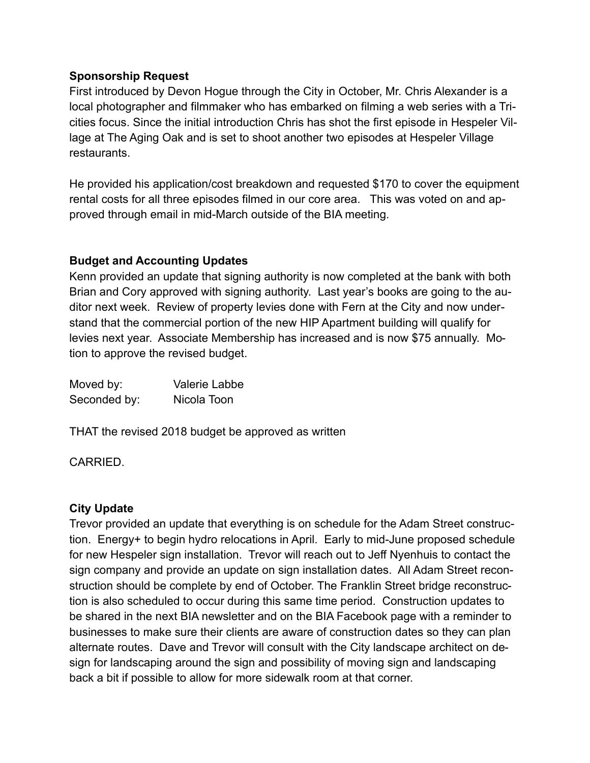## **Sponsorship Request**

First introduced by Devon Hogue through the City in October, Mr. Chris Alexander is a local photographer and filmmaker who has embarked on filming a web series with a Tricities focus. Since the initial introduction Chris has shot the first episode in Hespeler Village at The Aging Oak and is set to shoot another two episodes at Hespeler Village restaurants.

He provided his application/cost breakdown and requested \$170 to cover the equipment rental costs for all three episodes filmed in our core area. This was voted on and approved through email in mid-March outside of the BIA meeting.

## **Budget and Accounting Updates**

Kenn provided an update that signing authority is now completed at the bank with both Brian and Cory approved with signing authority. Last year's books are going to the auditor next week. Review of property levies done with Fern at the City and now understand that the commercial portion of the new HIP Apartment building will qualify for levies next year. Associate Membership has increased and is now \$75 annually. Motion to approve the revised budget.

| Moved by:    | Valerie Labbe |
|--------------|---------------|
| Seconded by: | Nicola Toon   |

THAT the revised 2018 budget be approved as written

CARRIED.

#### **City Update**

Trevor provided an update that everything is on schedule for the Adam Street construction. Energy+ to begin hydro relocations in April. Early to mid-June proposed schedule for new Hespeler sign installation. Trevor will reach out to Jeff Nyenhuis to contact the sign company and provide an update on sign installation dates. All Adam Street reconstruction should be complete by end of October. The Franklin Street bridge reconstruction is also scheduled to occur during this same time period. Construction updates to be shared in the next BIA newsletter and on the BIA Facebook page with a reminder to businesses to make sure their clients are aware of construction dates so they can plan alternate routes. Dave and Trevor will consult with the City landscape architect on design for landscaping around the sign and possibility of moving sign and landscaping back a bit if possible to allow for more sidewalk room at that corner.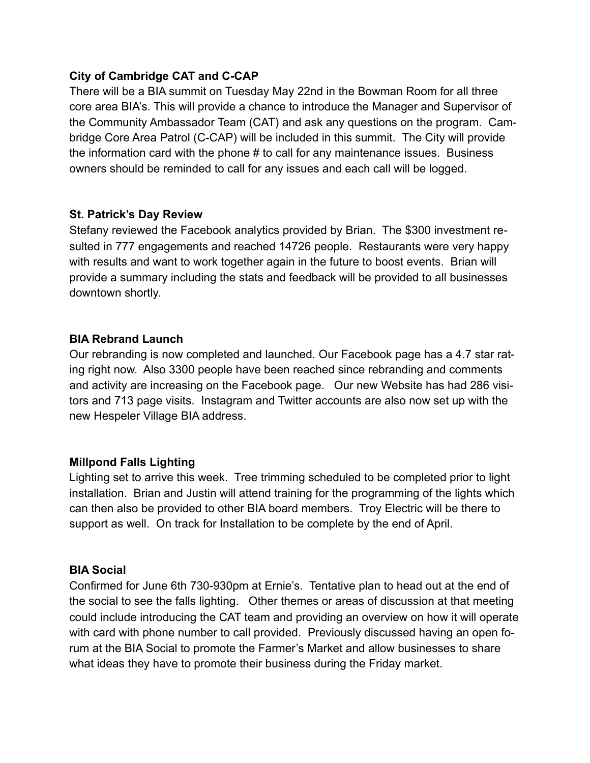## **City of Cambridge CAT and C-CAP**

There will be a BIA summit on Tuesday May 22nd in the Bowman Room for all three core area BIA's. This will provide a chance to introduce the Manager and Supervisor of the Community Ambassador Team (CAT) and ask any questions on the program. Cambridge Core Area Patrol (C-CAP) will be included in this summit. The City will provide the information card with the phone # to call for any maintenance issues. Business owners should be reminded to call for any issues and each call will be logged.

## **St. Patrick's Day Review**

Stefany reviewed the Facebook analytics provided by Brian. The \$300 investment resulted in 777 engagements and reached 14726 people. Restaurants were very happy with results and want to work together again in the future to boost events. Brian will provide a summary including the stats and feedback will be provided to all businesses downtown shortly.

#### **BIA Rebrand Launch**

Our rebranding is now completed and launched. Our Facebook page has a 4.7 star rating right now. Also 3300 people have been reached since rebranding and comments and activity are increasing on the Facebook page. Our new Website has had 286 visitors and 713 page visits. Instagram and Twitter accounts are also now set up with the new Hespeler Village BIA address.

#### **Millpond Falls Lighting**

Lighting set to arrive this week. Tree trimming scheduled to be completed prior to light installation. Brian and Justin will attend training for the programming of the lights which can then also be provided to other BIA board members. Troy Electric will be there to support as well. On track for Installation to be complete by the end of April.

## **BIA Social**

Confirmed for June 6th 730-930pm at Ernie's. Tentative plan to head out at the end of the social to see the falls lighting. Other themes or areas of discussion at that meeting could include introducing the CAT team and providing an overview on how it will operate with card with phone number to call provided. Previously discussed having an open forum at the BIA Social to promote the Farmer's Market and allow businesses to share what ideas they have to promote their business during the Friday market.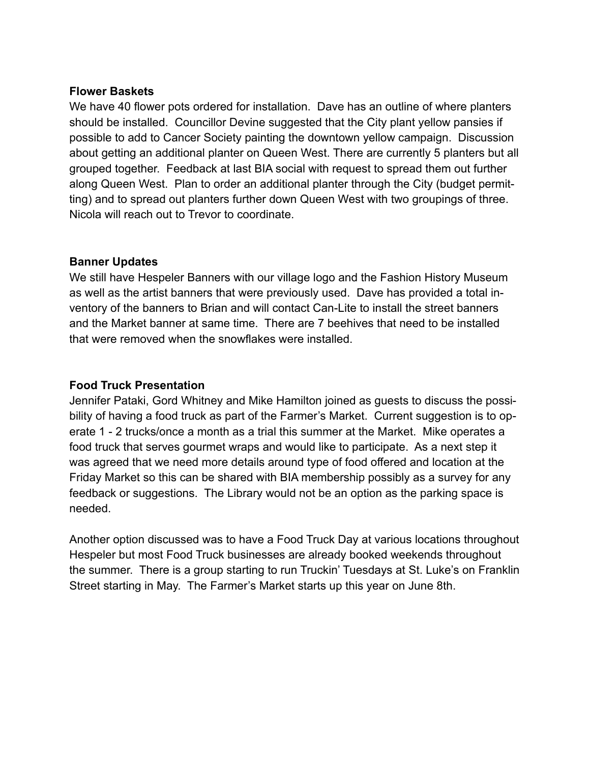#### **Flower Baskets**

We have 40 flower pots ordered for installation. Dave has an outline of where planters should be installed. Councillor Devine suggested that the City plant yellow pansies if possible to add to Cancer Society painting the downtown yellow campaign. Discussion about getting an additional planter on Queen West. There are currently 5 planters but all grouped together. Feedback at last BIA social with request to spread them out further along Queen West. Plan to order an additional planter through the City (budget permitting) and to spread out planters further down Queen West with two groupings of three. Nicola will reach out to Trevor to coordinate.

## **Banner Updates**

We still have Hespeler Banners with our village logo and the Fashion History Museum as well as the artist banners that were previously used. Dave has provided a total inventory of the banners to Brian and will contact Can-Lite to install the street banners and the Market banner at same time. There are 7 beehives that need to be installed that were removed when the snowflakes were installed.

## **Food Truck Presentation**

Jennifer Pataki, Gord Whitney and Mike Hamilton joined as guests to discuss the possibility of having a food truck as part of the Farmer's Market. Current suggestion is to operate 1 - 2 trucks/once a month as a trial this summer at the Market. Mike operates a food truck that serves gourmet wraps and would like to participate. As a next step it was agreed that we need more details around type of food offered and location at the Friday Market so this can be shared with BIA membership possibly as a survey for any feedback or suggestions. The Library would not be an option as the parking space is needed.

Another option discussed was to have a Food Truck Day at various locations throughout Hespeler but most Food Truck businesses are already booked weekends throughout the summer. There is a group starting to run Truckin' Tuesdays at St. Luke's on Franklin Street starting in May. The Farmer's Market starts up this year on June 8th.